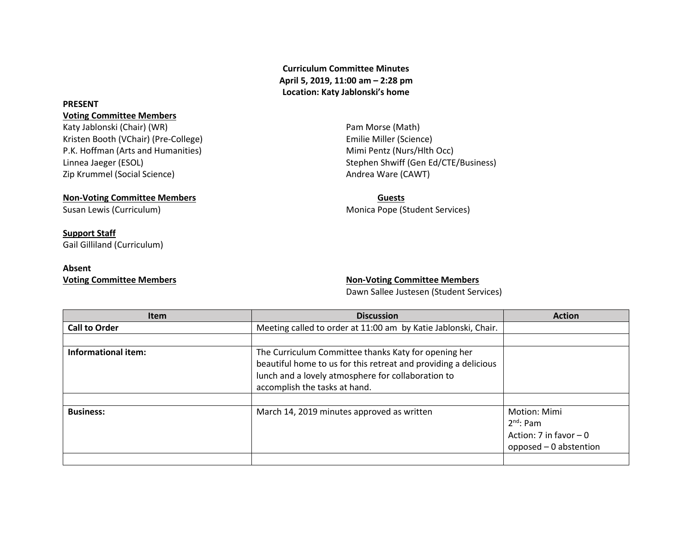**Curriculum Committee Minutes April 5, 2019, 11:00 am – 2:28 pm Location: Katy Jablonski's home**

### **PRESENT**

### **Voting Committee Members**

Katy Jablonski (Chair) (WR) **Pam Morse (Math)** Pam Morse (Math) Kristen Booth (VChair) (Pre-College) **Emilie Miller (Science**) Emilie Miller (Science) P.K. Hoffman (Arts and Humanities) Mimi Pentz (Nurs/Hlth Occ) Linnea Jaeger (ESOL) Stephen Shwiff (Gen Ed/CTE/Business) Zip Krummel (Social Science) and The Camera Ware (CAWT) and Andrea Ware (CAWT)

# **Non-Voting Committee Members Guests**

Susan Lewis (Curriculum) and Susan Lewis (Curriculum) and Monica Pope (Student Services)

## **Support Staff**

Gail Gilliland (Curriculum)

## **Absent**

**Voting Committee Members Non-Voting Committee Members** 

Dawn Sallee Justesen (Student Services)

| <b>Item</b>                | <b>Discussion</b>                                                                                                                                                                                              | <b>Action</b>                                                                       |
|----------------------------|----------------------------------------------------------------------------------------------------------------------------------------------------------------------------------------------------------------|-------------------------------------------------------------------------------------|
| <b>Call to Order</b>       | Meeting called to order at 11:00 am by Katie Jablonski, Chair.                                                                                                                                                 |                                                                                     |
|                            |                                                                                                                                                                                                                |                                                                                     |
| <b>Informational item:</b> | The Curriculum Committee thanks Katy for opening her<br>beautiful home to us for this retreat and providing a delicious<br>lunch and a lovely atmosphere for collaboration to<br>accomplish the tasks at hand. |                                                                                     |
|                            |                                                                                                                                                                                                                |                                                                                     |
| <b>Business:</b>           | March 14, 2019 minutes approved as written                                                                                                                                                                     | Motion: Mimi<br>$2^{nd}$ : Pam<br>Action: 7 in favor $-0$<br>opposed - 0 abstention |
|                            |                                                                                                                                                                                                                |                                                                                     |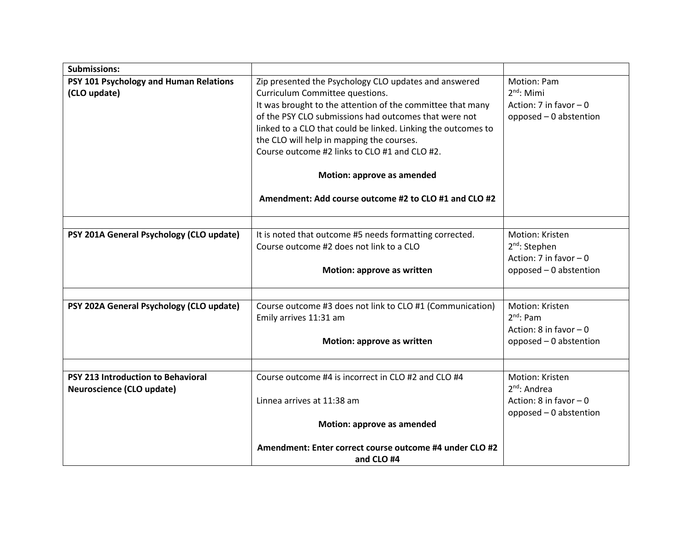| <b>Submissions:</b>                                                    |                                                                                                                                                                                                                                                                                                                                                                                                                                                                       |                                                                                            |
|------------------------------------------------------------------------|-----------------------------------------------------------------------------------------------------------------------------------------------------------------------------------------------------------------------------------------------------------------------------------------------------------------------------------------------------------------------------------------------------------------------------------------------------------------------|--------------------------------------------------------------------------------------------|
| PSY 101 Psychology and Human Relations<br>(CLO update)                 | Zip presented the Psychology CLO updates and answered<br>Curriculum Committee questions.<br>It was brought to the attention of the committee that many<br>of the PSY CLO submissions had outcomes that were not<br>linked to a CLO that could be linked. Linking the outcomes to<br>the CLO will help in mapping the courses.<br>Course outcome #2 links to CLO #1 and CLO #2.<br>Motion: approve as amended<br>Amendment: Add course outcome #2 to CLO #1 and CLO #2 | Motion: Pam<br>$2^{nd}$ : Mimi<br>Action: 7 in favor $-0$<br>opposed - 0 abstention        |
|                                                                        |                                                                                                                                                                                                                                                                                                                                                                                                                                                                       |                                                                                            |
| PSY 201A General Psychology (CLO update)                               | It is noted that outcome #5 needs formatting corrected.<br>Course outcome #2 does not link to a CLO<br>Motion: approve as written                                                                                                                                                                                                                                                                                                                                     | Motion: Kristen<br>$2^{nd}$ : Stephen<br>Action: 7 in favor $-0$<br>opposed - 0 abstention |
|                                                                        |                                                                                                                                                                                                                                                                                                                                                                                                                                                                       |                                                                                            |
| PSY 202A General Psychology (CLO update)                               | Course outcome #3 does not link to CLO #1 (Communication)<br>Emily arrives 11:31 am<br>Motion: approve as written                                                                                                                                                                                                                                                                                                                                                     | Motion: Kristen<br>$2^{nd}$ : Pam<br>Action: 8 in favor $-0$<br>opposed - 0 abstention     |
|                                                                        |                                                                                                                                                                                                                                                                                                                                                                                                                                                                       |                                                                                            |
| <b>PSY 213 Introduction to Behavioral</b><br>Neuroscience (CLO update) | Course outcome #4 is incorrect in CLO #2 and CLO #4<br>Linnea arrives at 11:38 am                                                                                                                                                                                                                                                                                                                                                                                     | Motion: Kristen<br>$2nd$ : Andrea<br>Action: 8 in favor $-0$<br>opposed - 0 abstention     |
|                                                                        | Motion: approve as amended                                                                                                                                                                                                                                                                                                                                                                                                                                            |                                                                                            |
|                                                                        | Amendment: Enter correct course outcome #4 under CLO #2<br>and CLO #4                                                                                                                                                                                                                                                                                                                                                                                                 |                                                                                            |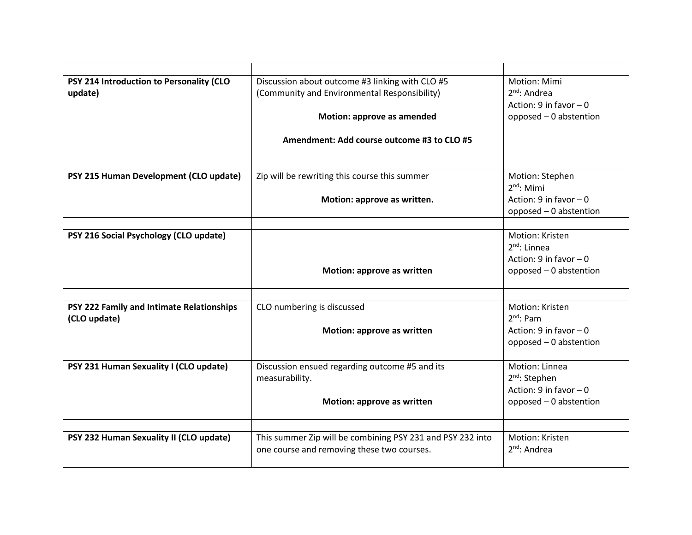| PSY 214 Introduction to Personality (CLO  | Discussion about outcome #3 linking with CLO #5            | Motion: Mimi                                    |
|-------------------------------------------|------------------------------------------------------------|-------------------------------------------------|
| update)                                   | (Community and Environmental Responsibility)               | $2^{nd}$ : Andrea                               |
|                                           |                                                            | Action: 9 in favor $-0$                         |
|                                           | Motion: approve as amended                                 | opposed - 0 abstention                          |
|                                           |                                                            |                                                 |
|                                           | Amendment: Add course outcome #3 to CLO #5                 |                                                 |
|                                           |                                                            |                                                 |
| PSY 215 Human Development (CLO update)    | Zip will be rewriting this course this summer              | Motion: Stephen                                 |
|                                           |                                                            | $2nd$ : Mimi                                    |
|                                           | Motion: approve as written.                                | Action: $9$ in favor $-0$                       |
|                                           |                                                            | opposed - 0 abstention                          |
|                                           |                                                            | Motion: Kristen                                 |
| PSY 216 Social Psychology (CLO update)    |                                                            | $2^{nd}$ : Linnea                               |
|                                           |                                                            | Action: $9$ in favor $-0$                       |
|                                           | Motion: approve as written                                 | opposed - 0 abstention                          |
|                                           |                                                            |                                                 |
|                                           |                                                            |                                                 |
| PSY 222 Family and Intimate Relationships | CLO numbering is discussed                                 | Motion: Kristen                                 |
| (CLO update)                              |                                                            | $2^{nd}$ : Pam                                  |
|                                           | Motion: approve as written                                 | Action: $9$ in favor $-0$                       |
|                                           |                                                            | opposed - 0 abstention                          |
|                                           |                                                            |                                                 |
| PSY 231 Human Sexuality I (CLO update)    | Discussion ensued regarding outcome #5 and its             | Motion: Linnea                                  |
|                                           | measurability.                                             | $2^{nd}$ : Stephen<br>Action: $9$ in favor $-0$ |
|                                           |                                                            |                                                 |
|                                           | Motion: approve as written                                 | opposed - 0 abstention                          |
|                                           |                                                            |                                                 |
| PSY 232 Human Sexuality II (CLO update)   | This summer Zip will be combining PSY 231 and PSY 232 into | Motion: Kristen                                 |
|                                           | one course and removing these two courses.                 | $2^{nd}$ : Andrea                               |
|                                           |                                                            |                                                 |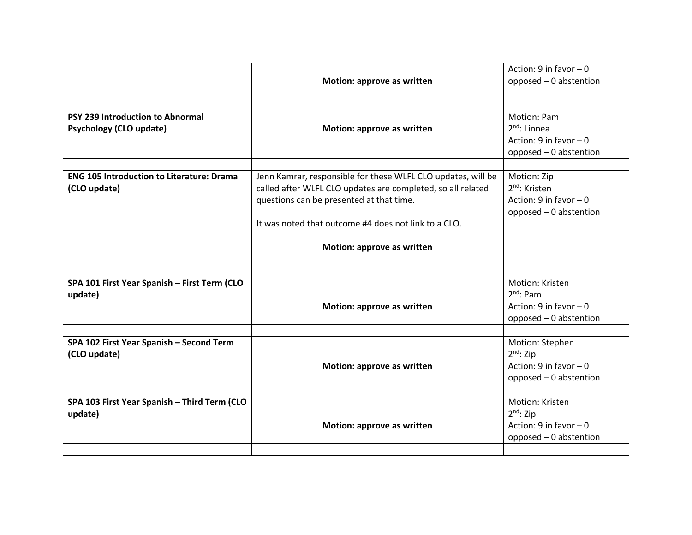| <b>PSY 239 Introduction to Abnormal</b>                          | Motion: approve as written                                                                                                                                                                                                                                    | Action: $9$ in favor $-0$<br>opposed - 0 abstention<br>Motion: Pam                              |
|------------------------------------------------------------------|---------------------------------------------------------------------------------------------------------------------------------------------------------------------------------------------------------------------------------------------------------------|-------------------------------------------------------------------------------------------------|
| <b>Psychology (CLO update)</b>                                   | Motion: approve as written                                                                                                                                                                                                                                    | $2^{nd}$ : Linnea<br>Action: $9$ in favor $-0$<br>opposed - 0 abstention                        |
| <b>ENG 105 Introduction to Literature: Drama</b><br>(CLO update) | Jenn Kamrar, responsible for these WLFL CLO updates, will be<br>called after WLFL CLO updates are completed, so all related<br>questions can be presented at that time.<br>It was noted that outcome #4 does not link to a CLO.<br>Motion: approve as written | Motion: Zip<br>2 <sup>nd</sup> : Kristen<br>Action: $9$ in favor $-0$<br>opposed - 0 abstention |
| SPA 101 First Year Spanish - First Term (CLO<br>update)          | Motion: approve as written                                                                                                                                                                                                                                    | Motion: Kristen<br>$2nd$ : Pam<br>Action: $9$ in favor $-0$<br>opposed - 0 abstention           |
| SPA 102 First Year Spanish - Second Term<br>(CLO update)         | Motion: approve as written                                                                                                                                                                                                                                    | Motion: Stephen<br>$2nd$ : Zip<br>Action: $9$ in favor $-0$<br>opposed - 0 abstention           |
| SPA 103 First Year Spanish - Third Term (CLO<br>update)          | Motion: approve as written                                                                                                                                                                                                                                    | Motion: Kristen<br>$2^{nd}$ : Zip<br>Action: $9$ in favor $-0$<br>opposed - 0 abstention        |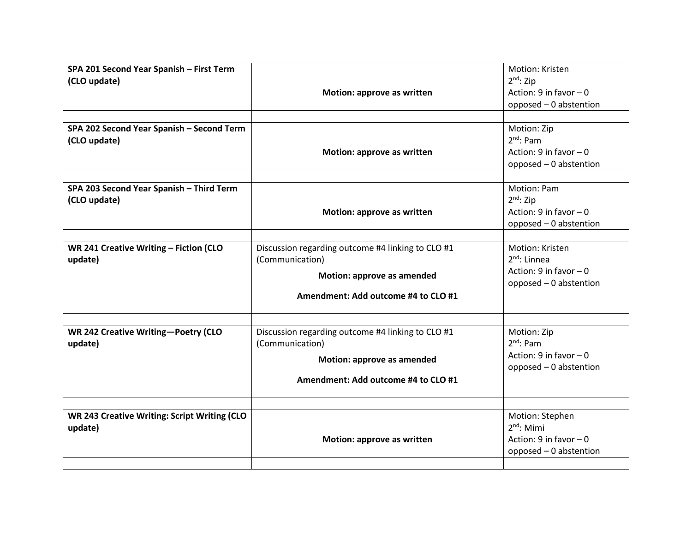| SPA 201 Second Year Spanish - First Term     |                                                   | Motion: Kristen           |
|----------------------------------------------|---------------------------------------------------|---------------------------|
| (CLO update)                                 |                                                   | $2^{nd}$ : Zip            |
|                                              | Motion: approve as written                        | Action: $9$ in favor $-0$ |
|                                              |                                                   | opposed - 0 abstention    |
|                                              |                                                   |                           |
| SPA 202 Second Year Spanish - Second Term    |                                                   | Motion: Zip               |
| (CLO update)                                 |                                                   | $2nd$ : Pam               |
|                                              | Motion: approve as written                        | Action: $9$ in favor $-0$ |
|                                              |                                                   | opposed - 0 abstention    |
|                                              |                                                   |                           |
| SPA 203 Second Year Spanish - Third Term     |                                                   | Motion: Pam               |
| (CLO update)                                 |                                                   | $2nd$ : Zip               |
|                                              | Motion: approve as written                        | Action: $9$ in favor $-0$ |
|                                              |                                                   | opposed - 0 abstention    |
|                                              |                                                   |                           |
| WR 241 Creative Writing - Fiction (CLO       | Discussion regarding outcome #4 linking to CLO #1 | Motion: Kristen           |
| update)                                      | (Communication)                                   | $2^{nd}$ : Linnea         |
|                                              |                                                   | Action: $9$ in favor $-0$ |
|                                              | Motion: approve as amended                        | opposed - 0 abstention    |
|                                              | Amendment: Add outcome #4 to CLO #1               |                           |
|                                              |                                                   |                           |
|                                              |                                                   |                           |
| WR 242 Creative Writing-Poetry (CLO          | Discussion regarding outcome #4 linking to CLO #1 | Motion: Zip               |
| update)                                      | (Communication)                                   | $2^{nd}$ : Pam            |
|                                              |                                                   | Action: $9$ in favor $-0$ |
|                                              | Motion: approve as amended                        | opposed - 0 abstention    |
|                                              | Amendment: Add outcome #4 to CLO #1               |                           |
|                                              |                                                   |                           |
|                                              |                                                   |                           |
| WR 243 Creative Writing: Script Writing (CLO |                                                   | Motion: Stephen           |
| update)                                      |                                                   | $2nd$ : Mimi              |
|                                              | Motion: approve as written                        | Action: $9$ in favor $-0$ |
|                                              |                                                   | opposed - 0 abstention    |
|                                              |                                                   |                           |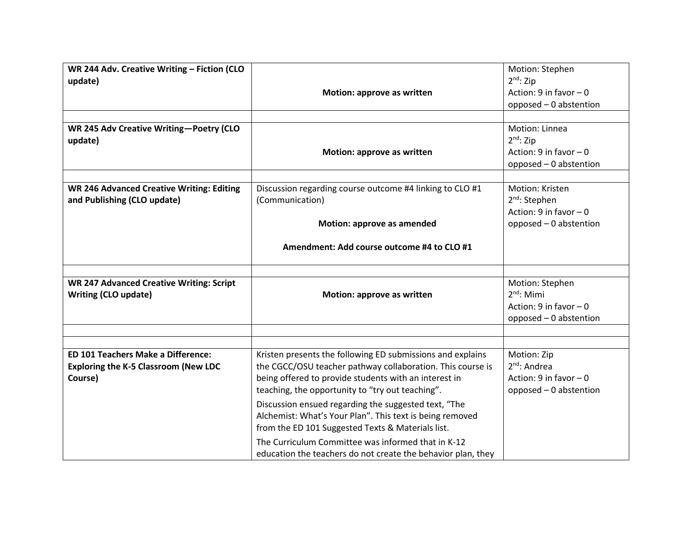| WR 244 Adv. Creative Writing - Fiction (CLO<br>update)<br>WR 245 Adv Creative Writing-Poetry (CLO   | Motion: approve as written                                                                                                                                                                                                                                                                                                                                                                                                                                                                                                           | Motion: Stephen<br>$2nd$ : Zip<br>Action: $9$ in favor $-0$<br>opposed - 0 abstention<br>Motion: Linnea |
|-----------------------------------------------------------------------------------------------------|--------------------------------------------------------------------------------------------------------------------------------------------------------------------------------------------------------------------------------------------------------------------------------------------------------------------------------------------------------------------------------------------------------------------------------------------------------------------------------------------------------------------------------------|---------------------------------------------------------------------------------------------------------|
| update)                                                                                             | Motion: approve as written                                                                                                                                                                                                                                                                                                                                                                                                                                                                                                           | $2nd$ : Zip<br>Action: $9$ in favor $-0$<br>opposed - 0 abstention                                      |
| <b>WR 246 Advanced Creative Writing: Editing</b><br>and Publishing (CLO update)                     | Discussion regarding course outcome #4 linking to CLO #1<br>(Communication)<br>Motion: approve as amended                                                                                                                                                                                                                                                                                                                                                                                                                            | Motion: Kristen<br>$2nd$ : Stephen<br>Action: $9$ in favor $-0$<br>opposed - 0 abstention               |
|                                                                                                     | Amendment: Add course outcome #4 to CLO #1                                                                                                                                                                                                                                                                                                                                                                                                                                                                                           |                                                                                                         |
| <b>WR 247 Advanced Creative Writing: Script</b><br><b>Writing (CLO update)</b>                      | Motion: approve as written                                                                                                                                                                                                                                                                                                                                                                                                                                                                                                           | Motion: Stephen<br>$2nd$ : Mimi<br>Action: $9$ in favor $-0$<br>opposed - 0 abstention                  |
| <b>ED 101 Teachers Make a Difference:</b><br><b>Exploring the K-5 Classroom (New LDC</b><br>Course) | Kristen presents the following ED submissions and explains<br>the CGCC/OSU teacher pathway collaboration. This course is<br>being offered to provide students with an interest in<br>teaching, the opportunity to "try out teaching".<br>Discussion ensued regarding the suggested text, "The<br>Alchemist: What's Your Plan". This text is being removed<br>from the ED 101 Suggested Texts & Materials list.<br>The Curriculum Committee was informed that in K-12<br>education the teachers do not create the behavior plan, they | Motion: Zip<br>$2^{nd}$ : Andrea<br>Action: $9$ in favor $-0$<br>opposed - 0 abstention                 |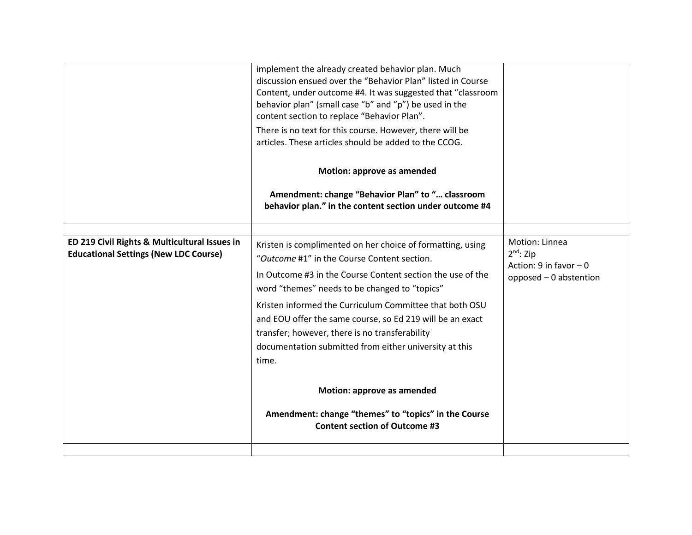|                                                                                               | discussion ensued over the "Behavior Plan" listed in Course<br>Content, under outcome #4. It was suggested that "classroom<br>behavior plan" (small case "b" and "p") be used in the<br>content section to replace "Behavior Plan".<br>There is no text for this course. However, there will be<br>articles. These articles should be added to the CCOG.<br>Motion: approve as amended                                                                                                                                                                                                              |                                                                                         |
|-----------------------------------------------------------------------------------------------|-----------------------------------------------------------------------------------------------------------------------------------------------------------------------------------------------------------------------------------------------------------------------------------------------------------------------------------------------------------------------------------------------------------------------------------------------------------------------------------------------------------------------------------------------------------------------------------------------------|-----------------------------------------------------------------------------------------|
|                                                                                               | Amendment: change "Behavior Plan" to " classroom<br>behavior plan." in the content section under outcome #4                                                                                                                                                                                                                                                                                                                                                                                                                                                                                         |                                                                                         |
| ED 219 Civil Rights & Multicultural Issues in<br><b>Educational Settings (New LDC Course)</b> | Kristen is complimented on her choice of formatting, using<br>"Outcome #1" in the Course Content section.<br>In Outcome #3 in the Course Content section the use of the<br>word "themes" needs to be changed to "topics"<br>Kristen informed the Curriculum Committee that both OSU<br>and EOU offer the same course, so Ed 219 will be an exact<br>transfer; however, there is no transferability<br>documentation submitted from either university at this<br>time.<br>Motion: approve as amended<br>Amendment: change "themes" to "topics" in the Course<br><b>Content section of Outcome #3</b> | Motion: Linnea<br>$2^{nd}$ : Zip<br>Action: $9$ in favor $-0$<br>opposed - 0 abstention |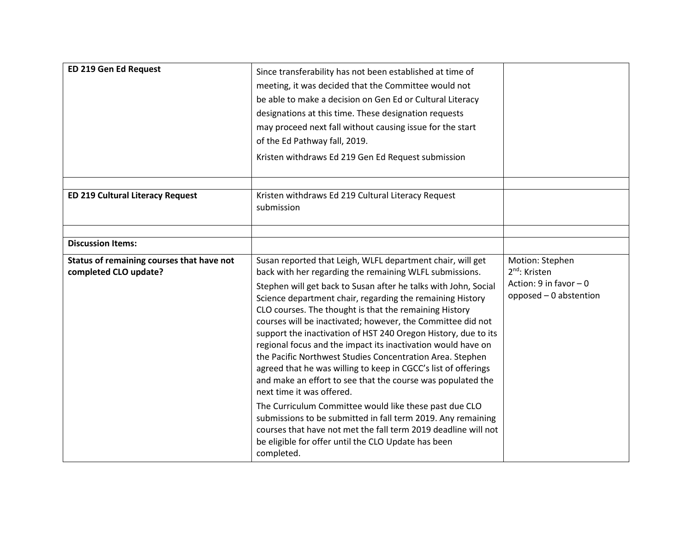| ED 219 Gen Ed Request                                              | Since transferability has not been established at time of<br>meeting, it was decided that the Committee would not<br>be able to make a decision on Gen Ed or Cultural Literacy<br>designations at this time. These designation requests<br>may proceed next fall without causing issue for the start<br>of the Ed Pathway fall, 2019.<br>Kristen withdraws Ed 219 Gen Ed Request submission                                                                                                                                                                                                                                                                                                                                                                                                                                                                                                                                                                                                                  |                                                                                                     |
|--------------------------------------------------------------------|--------------------------------------------------------------------------------------------------------------------------------------------------------------------------------------------------------------------------------------------------------------------------------------------------------------------------------------------------------------------------------------------------------------------------------------------------------------------------------------------------------------------------------------------------------------------------------------------------------------------------------------------------------------------------------------------------------------------------------------------------------------------------------------------------------------------------------------------------------------------------------------------------------------------------------------------------------------------------------------------------------------|-----------------------------------------------------------------------------------------------------|
| <b>ED 219 Cultural Literacy Request</b>                            | Kristen withdraws Ed 219 Cultural Literacy Request<br>submission                                                                                                                                                                                                                                                                                                                                                                                                                                                                                                                                                                                                                                                                                                                                                                                                                                                                                                                                             |                                                                                                     |
| <b>Discussion Items:</b>                                           |                                                                                                                                                                                                                                                                                                                                                                                                                                                                                                                                                                                                                                                                                                                                                                                                                                                                                                                                                                                                              |                                                                                                     |
| Status of remaining courses that have not<br>completed CLO update? | Susan reported that Leigh, WLFL department chair, will get<br>back with her regarding the remaining WLFL submissions.<br>Stephen will get back to Susan after he talks with John, Social<br>Science department chair, regarding the remaining History<br>CLO courses. The thought is that the remaining History<br>courses will be inactivated; however, the Committee did not<br>support the inactivation of HST 240 Oregon History, due to its<br>regional focus and the impact its inactivation would have on<br>the Pacific Northwest Studies Concentration Area. Stephen<br>agreed that he was willing to keep in CGCC's list of offerings<br>and make an effort to see that the course was populated the<br>next time it was offered.<br>The Curriculum Committee would like these past due CLO<br>submissions to be submitted in fall term 2019. Any remaining<br>courses that have not met the fall term 2019 deadline will not<br>be eligible for offer until the CLO Update has been<br>completed. | Motion: Stephen<br>2 <sup>nd</sup> : Kristen<br>Action: $9$ in favor $-0$<br>opposed - 0 abstention |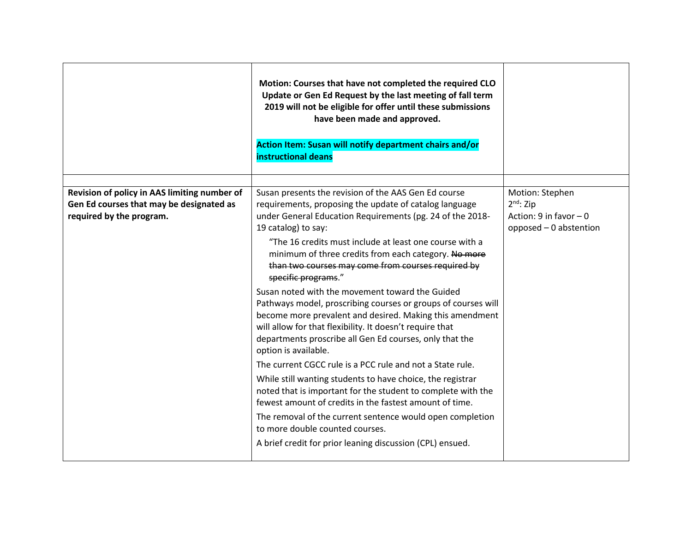|                                                                                                                      | Motion: Courses that have not completed the required CLO<br>Update or Gen Ed Request by the last meeting of fall term<br>2019 will not be eligible for offer until these submissions<br>have been made and approved.<br>Action Item: Susan will notify department chairs and/or<br>instructional deans                                                                                                                                                                                                                                                                                                                                                                                                                                                                                                                                                                                                                                                                                                                                                                                                                                               |                                                                                       |
|----------------------------------------------------------------------------------------------------------------------|------------------------------------------------------------------------------------------------------------------------------------------------------------------------------------------------------------------------------------------------------------------------------------------------------------------------------------------------------------------------------------------------------------------------------------------------------------------------------------------------------------------------------------------------------------------------------------------------------------------------------------------------------------------------------------------------------------------------------------------------------------------------------------------------------------------------------------------------------------------------------------------------------------------------------------------------------------------------------------------------------------------------------------------------------------------------------------------------------------------------------------------------------|---------------------------------------------------------------------------------------|
| Revision of policy in AAS limiting number of<br>Gen Ed courses that may be designated as<br>required by the program. | Susan presents the revision of the AAS Gen Ed course<br>requirements, proposing the update of catalog language<br>under General Education Requirements (pg. 24 of the 2018-<br>19 catalog) to say:<br>"The 16 credits must include at least one course with a<br>minimum of three credits from each category. No more<br>than two courses may come from courses required by<br>specific programs."<br>Susan noted with the movement toward the Guided<br>Pathways model, proscribing courses or groups of courses will<br>become more prevalent and desired. Making this amendment<br>will allow for that flexibility. It doesn't require that<br>departments proscribe all Gen Ed courses, only that the<br>option is available.<br>The current CGCC rule is a PCC rule and not a State rule.<br>While still wanting students to have choice, the registrar<br>noted that is important for the student to complete with the<br>fewest amount of credits in the fastest amount of time.<br>The removal of the current sentence would open completion<br>to more double counted courses.<br>A brief credit for prior leaning discussion (CPL) ensued. | Motion: Stephen<br>$2nd$ : Zip<br>Action: $9$ in favor $-0$<br>opposed - 0 abstention |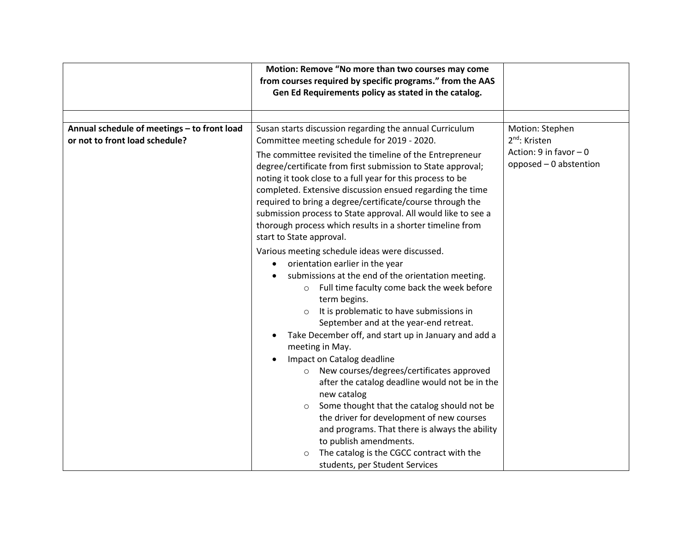|                                                                               | Motion: Remove "No more than two courses may come<br>from courses required by specific programs." from the AAS                                                                                                                                                                                                                                                                                                                                                                                                                                                                                                                                                                                                                                                                                                                                                                                                                                                                                                                                                                                                                                                                                                                                                                                                                 |                                                                                                     |
|-------------------------------------------------------------------------------|--------------------------------------------------------------------------------------------------------------------------------------------------------------------------------------------------------------------------------------------------------------------------------------------------------------------------------------------------------------------------------------------------------------------------------------------------------------------------------------------------------------------------------------------------------------------------------------------------------------------------------------------------------------------------------------------------------------------------------------------------------------------------------------------------------------------------------------------------------------------------------------------------------------------------------------------------------------------------------------------------------------------------------------------------------------------------------------------------------------------------------------------------------------------------------------------------------------------------------------------------------------------------------------------------------------------------------|-----------------------------------------------------------------------------------------------------|
|                                                                               | Gen Ed Requirements policy as stated in the catalog.                                                                                                                                                                                                                                                                                                                                                                                                                                                                                                                                                                                                                                                                                                                                                                                                                                                                                                                                                                                                                                                                                                                                                                                                                                                                           |                                                                                                     |
|                                                                               |                                                                                                                                                                                                                                                                                                                                                                                                                                                                                                                                                                                                                                                                                                                                                                                                                                                                                                                                                                                                                                                                                                                                                                                                                                                                                                                                |                                                                                                     |
| Annual schedule of meetings - to front load<br>or not to front load schedule? | Susan starts discussion regarding the annual Curriculum<br>Committee meeting schedule for 2019 - 2020.<br>The committee revisited the timeline of the Entrepreneur<br>degree/certificate from first submission to State approval;<br>noting it took close to a full year for this process to be<br>completed. Extensive discussion ensued regarding the time<br>required to bring a degree/certificate/course through the<br>submission process to State approval. All would like to see a<br>thorough process which results in a shorter timeline from<br>start to State approval.<br>Various meeting schedule ideas were discussed.<br>orientation earlier in the year<br>submissions at the end of the orientation meeting.<br>Full time faculty come back the week before<br>$\circ$<br>term begins.<br>It is problematic to have submissions in<br>$\circ$<br>September and at the year-end retreat.<br>Take December off, and start up in January and add a<br>meeting in May.<br>Impact on Catalog deadline<br>New courses/degrees/certificates approved<br>$\circ$<br>after the catalog deadline would not be in the<br>new catalog<br>Some thought that the catalog should not be<br>$\circ$<br>the driver for development of new courses<br>and programs. That there is always the ability<br>to publish amendments. | Motion: Stephen<br>2 <sup>nd</sup> : Kristen<br>Action: $9$ in favor $-0$<br>opposed - 0 abstention |
|                                                                               | The catalog is the CGCC contract with the<br>students, per Student Services                                                                                                                                                                                                                                                                                                                                                                                                                                                                                                                                                                                                                                                                                                                                                                                                                                                                                                                                                                                                                                                                                                                                                                                                                                                    |                                                                                                     |